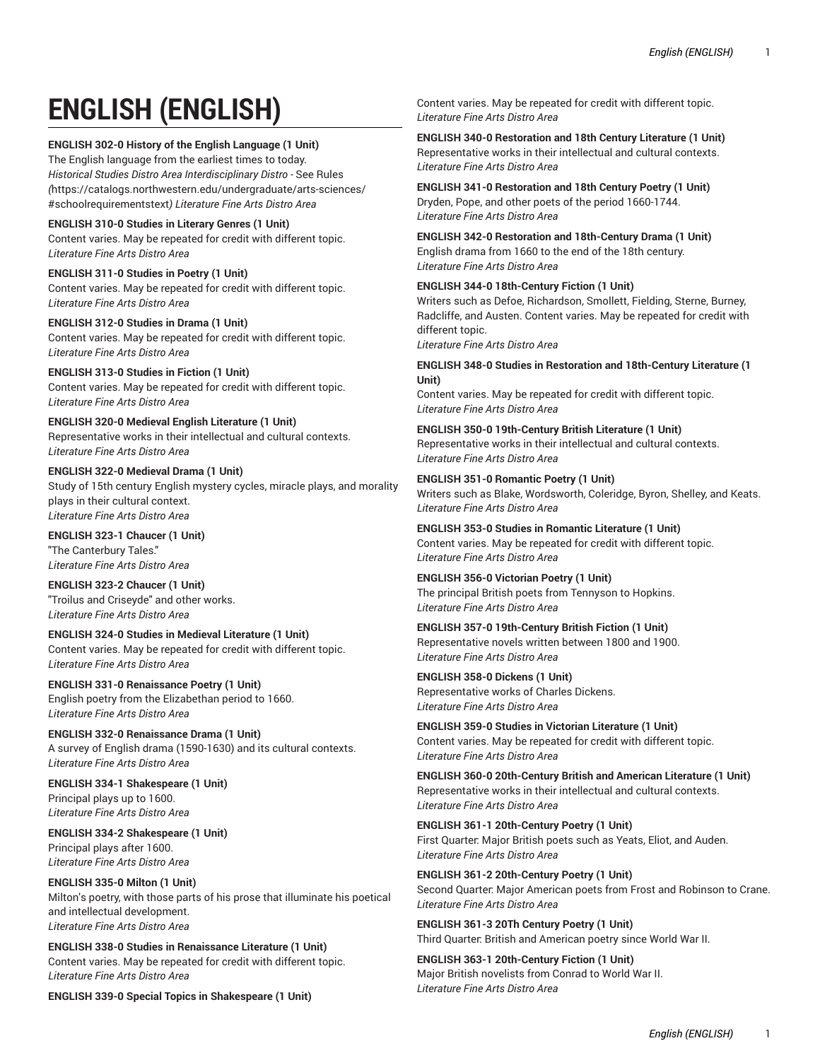# **ENGLISH (ENGLISH)**

## **ENGLISH 302-0 History of the English Language (1 Unit)**

The English language from the earliest times to today. *Historical Studies Distro Area Interdisciplinary Distro -* [See Rules](https://catalogs.northwestern.edu/undergraduate/arts-sciences/#schoolrequirementstext) *(*[https://catalogs.northwestern.edu/undergraduate/arts-sciences/](https://catalogs.northwestern.edu/undergraduate/arts-sciences/#schoolrequirementstext) [#schoolrequirementstext](https://catalogs.northwestern.edu/undergraduate/arts-sciences/#schoolrequirementstext)*) Literature Fine Arts Distro Area*

**ENGLISH 310-0 Studies in Literary Genres (1 Unit)** Content varies. May be repeated for credit with different topic. *Literature Fine Arts Distro Area*

**ENGLISH 311-0 Studies in Poetry (1 Unit)** Content varies. May be repeated for credit with different topic. *Literature Fine Arts Distro Area*

**ENGLISH 312-0 Studies in Drama (1 Unit)**  Content varies. May be repeated for credit with different topic. *Literature Fine Arts Distro Area*

**ENGLISH 313-0 Studies in Fiction (1 Unit)**  Content varies. May be repeated for credit with different topic. *Literature Fine Arts Distro Area*

**ENGLISH 320-0 Medieval English Literature (1 Unit)** Representative works in their intellectual and cultural contexts. *Literature Fine Arts Distro Area*

**ENGLISH 322-0 Medieval Drama (1 Unit)** Study of 15th century English mystery cycles, miracle plays, and morality plays in their cultural context. *Literature Fine Arts Distro Area*

**ENGLISH 323-1 Chaucer (1 Unit)**  "The Canterbury Tales." *Literature Fine Arts Distro Area*

**ENGLISH 323-2 Chaucer (1 Unit)**  "Troilus and Criseyde" and other works. *Literature Fine Arts Distro Area*

**ENGLISH 324-0 Studies in Medieval Literature (1 Unit)** Content varies. May be repeated for credit with different topic. *Literature Fine Arts Distro Area*

**ENGLISH 331-0 Renaissance Poetry (1 Unit)** English poetry from the Elizabethan period to 1660. *Literature Fine Arts Distro Area*

**ENGLISH 332-0 Renaissance Drama (1 Unit)**  A survey of English drama (1590-1630) and its cultural contexts. *Literature Fine Arts Distro Area*

**ENGLISH 334-1 Shakespeare (1 Unit)** Principal plays up to 1600. *Literature Fine Arts Distro Area*

**ENGLISH 334-2 Shakespeare (1 Unit)** Principal plays after 1600. *Literature Fine Arts Distro Area*

**ENGLISH 335-0 Milton (1 Unit)**  Milton's poetry, with those parts of his prose that illuminate his poetical and intellectual development. *Literature Fine Arts Distro Area*

**ENGLISH 338-0 Studies in Renaissance Literature (1 Unit)**  Content varies. May be repeated for credit with different topic. *Literature Fine Arts Distro Area*

**ENGLISH 339-0 Special Topics in Shakespeare (1 Unit)**

Content varies. May be repeated for credit with different topic. *Literature Fine Arts Distro Area*

**ENGLISH 340-0 Restoration and 18th Century Literature (1 Unit)** Representative works in their intellectual and cultural contexts. *Literature Fine Arts Distro Area*

**ENGLISH 341-0 Restoration and 18th Century Poetry (1 Unit)** Dryden, Pope, and other poets of the period 1660-1744. *Literature Fine Arts Distro Area*

**ENGLISH 342-0 Restoration and 18th-Century Drama (1 Unit)** English drama from 1660 to the end of the 18th century. *Literature Fine Arts Distro Area*

**ENGLISH 344-0 18th-Century Fiction (1 Unit)** Writers such as Defoe, Richardson, Smollett, Fielding, Sterne, Burney, Radcliffe, and Austen. Content varies. May be repeated for credit with different topic.

*Literature Fine Arts Distro Area*

**ENGLISH 348-0 Studies in Restoration and 18th-Century Literature (1 Unit)** 

Content varies. May be repeated for credit with different topic. *Literature Fine Arts Distro Area*

**ENGLISH 350-0 19th-Century British Literature (1 Unit)** Representative works in their intellectual and cultural contexts. *Literature Fine Arts Distro Area*

**ENGLISH 351-0 Romantic Poetry (1 Unit)** Writers such as Blake, Wordsworth, Coleridge, Byron, Shelley, and Keats. *Literature Fine Arts Distro Area*

**ENGLISH 353-0 Studies in Romantic Literature (1 Unit)**  Content varies. May be repeated for credit with different topic. *Literature Fine Arts Distro Area*

**ENGLISH 356-0 Victorian Poetry (1 Unit)** The principal British poets from Tennyson to Hopkins. *Literature Fine Arts Distro Area*

**ENGLISH 357-0 19th-Century British Fiction (1 Unit)** Representative novels written between 1800 and 1900. *Literature Fine Arts Distro Area*

**ENGLISH 358-0 Dickens (1 Unit)** Representative works of Charles Dickens. *Literature Fine Arts Distro Area*

**ENGLISH 359-0 Studies in Victorian Literature (1 Unit)**  Content varies. May be repeated for credit with different topic. *Literature Fine Arts Distro Area*

**ENGLISH 360-0 20th-Century British and American Literature (1 Unit)** Representative works in their intellectual and cultural contexts. *Literature Fine Arts Distro Area*

**ENGLISH 361-1 20th-Century Poetry (1 Unit)** First Quarter: Major British poets such as Yeats, Eliot, and Auden. *Literature Fine Arts Distro Area*

**ENGLISH 361-2 20th-Century Poetry (1 Unit)** Second Quarter: Major American poets from Frost and Robinson to Crane. *Literature Fine Arts Distro Area*

**ENGLISH 361-3 20Th Century Poetry (1 Unit)** Third Quarter: British and American poetry since World War II.

**ENGLISH 363-1 20th-Century Fiction (1 Unit)** Major British novelists from Conrad to World War II. *Literature Fine Arts Distro Area*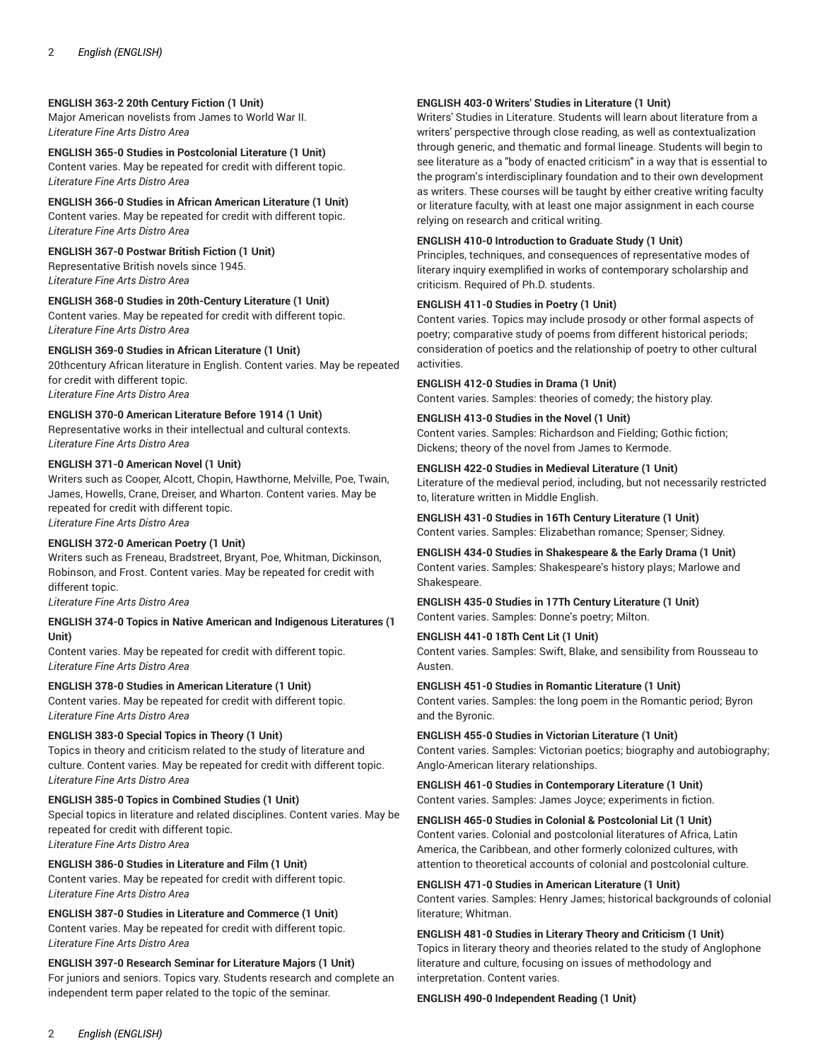# **ENGLISH 363-2 20th Century Fiction (1 Unit)**

Major American novelists from James to World War II. *Literature Fine Arts Distro Area*

**ENGLISH 365-0 Studies in Postcolonial Literature (1 Unit)** Content varies. May be repeated for credit with different topic. *Literature Fine Arts Distro Area*

**ENGLISH 366-0 Studies in African American Literature (1 Unit)**  Content varies. May be repeated for credit with different topic. *Literature Fine Arts Distro Area*

**ENGLISH 367-0 Postwar British Fiction (1 Unit)** Representative British novels since 1945. *Literature Fine Arts Distro Area*

**ENGLISH 368-0 Studies in 20th-Century Literature (1 Unit)**

Content varies. May be repeated for credit with different topic. *Literature Fine Arts Distro Area*

**ENGLISH 369-0 Studies in African Literature (1 Unit)**  20thcentury African literature in English. Content varies. May be repeated for credit with different topic. *Literature Fine Arts Distro Area*

**ENGLISH 370-0 American Literature Before 1914 (1 Unit)**  Representative works in their intellectual and cultural contexts. *Literature Fine Arts Distro Area*

# **ENGLISH 371-0 American Novel (1 Unit)**

Writers such as Cooper, Alcott, Chopin, Hawthorne, Melville, Poe, Twain, James, Howells, Crane, Dreiser, and Wharton. Content varies. May be repeated for credit with different topic.

*Literature Fine Arts Distro Area*

## **ENGLISH 372-0 American Poetry (1 Unit)**

Writers such as Freneau, Bradstreet, Bryant, Poe, Whitman, Dickinson, Robinson, and Frost. Content varies. May be repeated for credit with different topic.

*Literature Fine Arts Distro Area*

#### **ENGLISH 374-0 Topics in Native American and Indigenous Literatures (1 Unit)**

Content varies. May be repeated for credit with different topic. *Literature Fine Arts Distro Area*

**ENGLISH 378-0 Studies in American Literature (1 Unit)** 

Content varies. May be repeated for credit with different topic. *Literature Fine Arts Distro Area*

# **ENGLISH 383-0 Special Topics in Theory (1 Unit)**

Topics in theory and criticism related to the study of literature and culture. Content varies. May be repeated for credit with different topic. *Literature Fine Arts Distro Area*

**ENGLISH 385-0 Topics in Combined Studies (1 Unit)** Special topics in literature and related disciplines. Content varies. May be repeated for credit with different topic. *Literature Fine Arts Distro Area*

**ENGLISH 386-0 Studies in Literature and Film (1 Unit)** 

Content varies. May be repeated for credit with different topic. *Literature Fine Arts Distro Area*

**ENGLISH 387-0 Studies in Literature and Commerce (1 Unit)**  Content varies. May be repeated for credit with different topic. *Literature Fine Arts Distro Area*

**ENGLISH 397-0 Research Seminar for Literature Majors (1 Unit)**  For juniors and seniors. Topics vary. Students research and complete an independent term paper related to the topic of the seminar.

## **ENGLISH 403-0 Writers' Studies in Literature (1 Unit)**

Writers' Studies in Literature. Students will learn about literature from a writers' perspective through close reading, as well as contextualization through generic, and thematic and formal lineage. Students will begin to see literature as a "body of enacted criticism" in a way that is essential to the program's interdisciplinary foundation and to their own development as writers. These courses will be taught by either creative writing faculty or literature faculty, with at least one major assignment in each course relying on research and critical writing.

## **ENGLISH 410-0 Introduction to Graduate Study (1 Unit)**

Principles, techniques, and consequences of representative modes of literary inquiry exemplified in works of contemporary scholarship and criticism. Required of Ph.D. students.

### **ENGLISH 411-0 Studies in Poetry (1 Unit)**

Content varies. Topics may include prosody or other formal aspects of poetry; comparative study of poems from different historical periods; consideration of poetics and the relationship of poetry to other cultural activities.

**ENGLISH 412-0 Studies in Drama (1 Unit)** 

Content varies. Samples: theories of comedy; the history play.

**ENGLISH 413-0 Studies in the Novel (1 Unit)**

Content varies. Samples: Richardson and Fielding; Gothic fiction; Dickens; theory of the novel from James to Kermode.

## **ENGLISH 422-0 Studies in Medieval Literature (1 Unit)**

Literature of the medieval period, including, but not necessarily restricted to, literature written in Middle English.

**ENGLISH 431-0 Studies in 16Th Century Literature (1 Unit)** Content varies. Samples: Elizabethan romance; Spenser; Sidney.

**ENGLISH 434-0 Studies in Shakespeare & the Early Drama (1 Unit)** Content varies. Samples: Shakespeare's history plays; Marlowe and Shakespeare.

**ENGLISH 435-0 Studies in 17Th Century Literature (1 Unit)** Content varies. Samples: Donne's poetry; Milton.

**ENGLISH 441-0 18Th Cent Lit (1 Unit)**  Content varies. Samples: Swift, Blake, and sensibility from Rousseau to Austen.

**ENGLISH 451-0 Studies in Romantic Literature (1 Unit)**  Content varies. Samples: the long poem in the Romantic period; Byron and the Byronic.

**ENGLISH 455-0 Studies in Victorian Literature (1 Unit)**  Content varies. Samples: Victorian poetics; biography and autobiography; Anglo-American literary relationships.

**ENGLISH 461-0 Studies in Contemporary Literature (1 Unit)** Content varies. Samples: James Joyce; experiments in fiction.

**ENGLISH 465-0 Studies in Colonial & Postcolonial Lit (1 Unit)** Content varies. Colonial and postcolonial literatures of Africa, Latin America, the Caribbean, and other formerly colonized cultures, with attention to theoretical accounts of colonial and postcolonial culture.

**ENGLISH 471-0 Studies in American Literature (1 Unit)** 

Content varies. Samples: Henry James; historical backgrounds of colonial literature; Whitman.

**ENGLISH 481-0 Studies in Literary Theory and Criticism (1 Unit)** Topics in literary theory and theories related to the study of Anglophone literature and culture, focusing on issues of methodology and interpretation. Content varies.

### **ENGLISH 490-0 Independent Reading (1 Unit)**